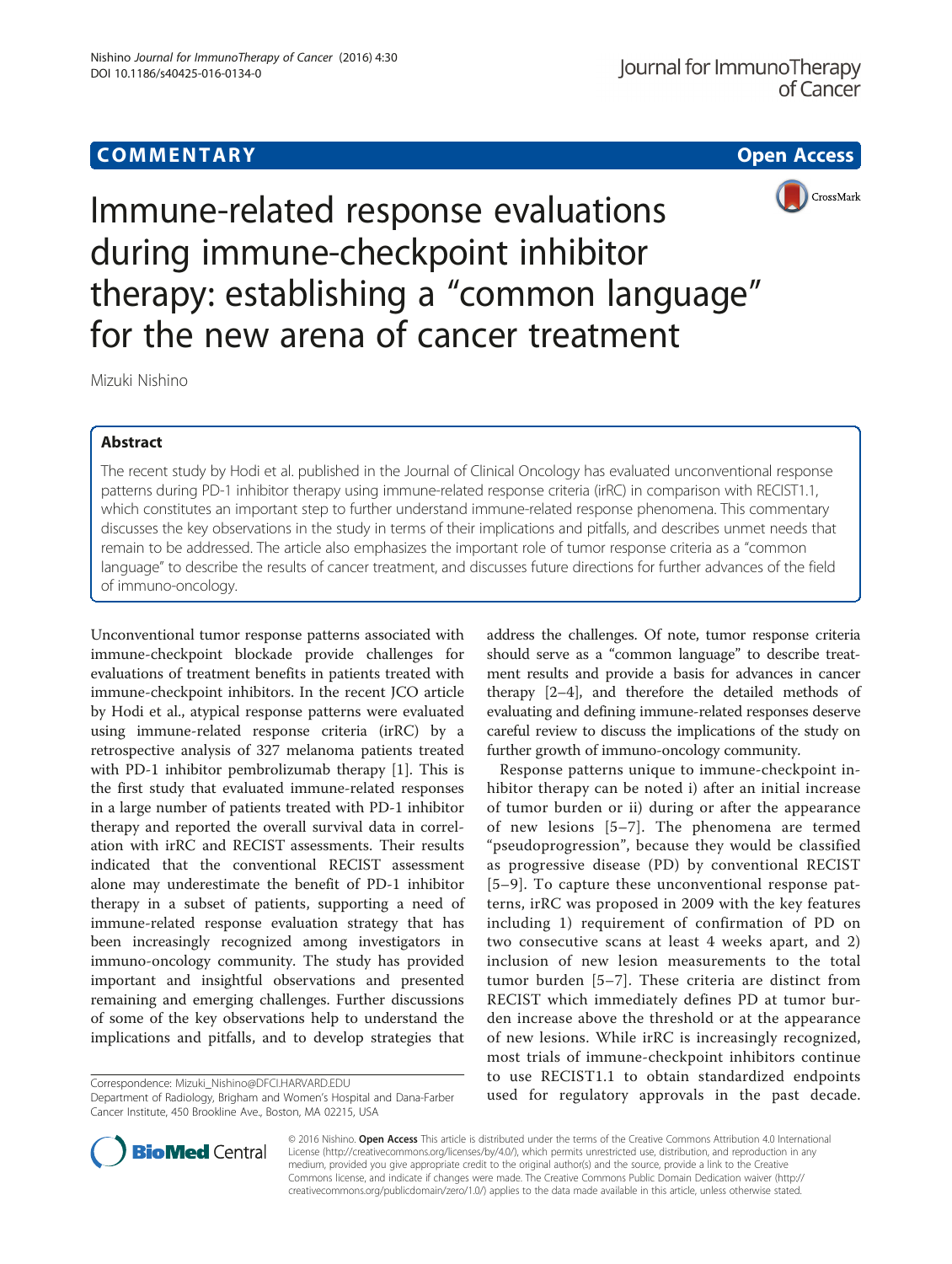# **COMMENTARY COMMENTARY Open Access**



Immune-related response evaluations during immune-checkpoint inhibitor therapy: establishing a "common language" for the new arena of cancer treatment

Mizuki Nishino

# Abstract

The recent study by Hodi et al. published in the Journal of Clinical Oncology has evaluated unconventional response patterns during PD-1 inhibitor therapy using immune-related response criteria (irRC) in comparison with RECIST1.1, which constitutes an important step to further understand immune-related response phenomena. This commentary discusses the key observations in the study in terms of their implications and pitfalls, and describes unmet needs that remain to be addressed. The article also emphasizes the important role of tumor response criteria as a "common language" to describe the results of cancer treatment, and discusses future directions for further advances of the field of immuno-oncology.

Unconventional tumor response patterns associated with immune-checkpoint blockade provide challenges for evaluations of treatment benefits in patients treated with immune-checkpoint inhibitors. In the recent JCO article by Hodi et al., atypical response patterns were evaluated using immune-related response criteria (irRC) by a retrospective analysis of 327 melanoma patients treated with PD-1 inhibitor pembrolizumab therapy [\[1](#page-2-0)]. This is the first study that evaluated immune-related responses in a large number of patients treated with PD-1 inhibitor therapy and reported the overall survival data in correlation with irRC and RECIST assessments. Their results indicated that the conventional RECIST assessment alone may underestimate the benefit of PD-1 inhibitor therapy in a subset of patients, supporting a need of immune-related response evaluation strategy that has been increasingly recognized among investigators in immuno-oncology community. The study has provided important and insightful observations and presented remaining and emerging challenges. Further discussions of some of the key observations help to understand the implications and pitfalls, and to develop strategies that

Department of Radiology, Brigham and Women's Hospital and Dana-Farber Cancer Institute, 450 Brookline Ave., Boston, MA 02215, USA

address the challenges. Of note, tumor response criteria should serve as a "common language" to describe treatment results and provide a basis for advances in cancer therapy [[2](#page-2-0)–[4](#page-2-0)], and therefore the detailed methods of evaluating and defining immune-related responses deserve careful review to discuss the implications of the study on further growth of immuno-oncology community.

Response patterns unique to immune-checkpoint inhibitor therapy can be noted i) after an initial increase of tumor burden or ii) during or after the appearance of new lesions [[5](#page-2-0)–[7](#page-3-0)]. The phenomena are termed "pseudoprogression", because they would be classified as progressive disease (PD) by conventional RECIST [[5](#page-2-0)–[9](#page-3-0)]. To capture these unconventional response patterns, irRC was proposed in 2009 with the key features including 1) requirement of confirmation of PD on two consecutive scans at least 4 weeks apart, and 2) inclusion of new lesion measurements to the total tumor burden [[5](#page-2-0)–[7\]](#page-3-0). These criteria are distinct from RECIST which immediately defines PD at tumor burden increase above the threshold or at the appearance of new lesions. While irRC is increasingly recognized, most trials of immune-checkpoint inhibitors continue to use RECIST1.1 to obtain standardized endpoints Correspondence: [Mizuki\\_Nishino@DFCI.HARVARD.EDU](mailto:Mizuki_Nishino@DFCI.HARVARD.EDU)<br>Department of Radiology, Brigham and Women's Hospital and Dana-Farber **used for regulatory approvals in the past decade.** 



© 2016 Nishino. Open Access This article is distributed under the terms of the Creative Commons Attribution 4.0 International License ([http://creativecommons.org/licenses/by/4.0/\)](http://creativecommons.org/licenses/by/4.0/), which permits unrestricted use, distribution, and reproduction in any medium, provided you give appropriate credit to the original author(s) and the source, provide a link to the Creative Commons license, and indicate if changes were made. The Creative Commons Public Domain Dedication waiver ([http://](http://creativecommons.org/publicdomain/zero/1.0/) [creativecommons.org/publicdomain/zero/1.0/\)](http://creativecommons.org/publicdomain/zero/1.0/) applies to the data made available in this article, unless otherwise stated.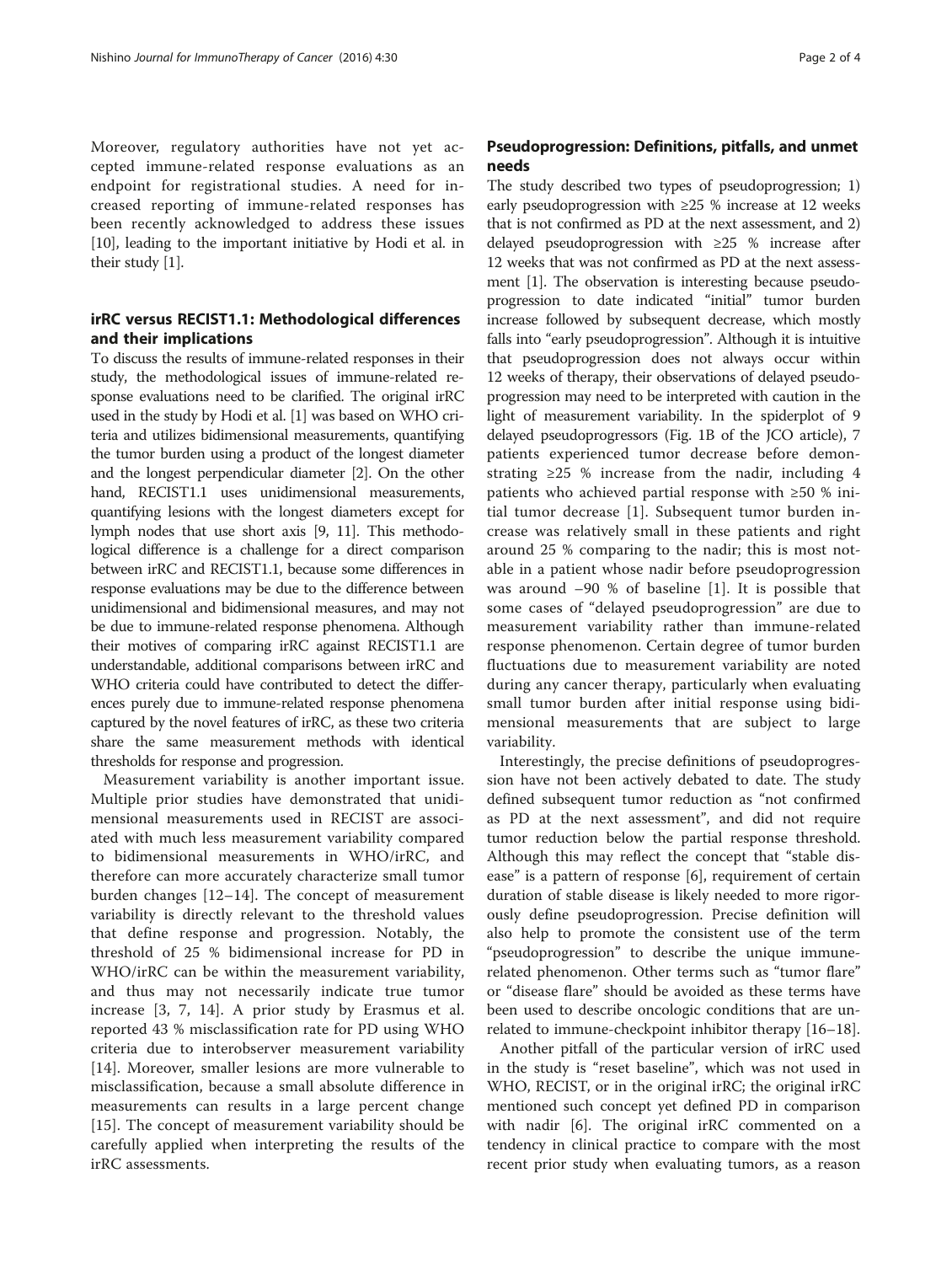Moreover, regulatory authorities have not yet accepted immune-related response evaluations as an endpoint for registrational studies. A need for increased reporting of immune-related responses has been recently acknowledged to address these issues [[10](#page-3-0)], leading to the important initiative by Hodi et al. in their study [\[1](#page-2-0)].

## irRC versus RECIST1.1: Methodological differences and their implications

To discuss the results of immune-related responses in their study, the methodological issues of immune-related response evaluations need to be clarified. The original irRC used in the study by Hodi et al. [\[1](#page-2-0)] was based on WHO criteria and utilizes bidimensional measurements, quantifying the tumor burden using a product of the longest diameter and the longest perpendicular diameter [\[2\]](#page-2-0). On the other hand, RECIST1.1 uses unidimensional measurements, quantifying lesions with the longest diameters except for lymph nodes that use short axis [\[9, 11\]](#page-3-0). This methodological difference is a challenge for a direct comparison between irRC and RECIST1.1, because some differences in response evaluations may be due to the difference between unidimensional and bidimensional measures, and may not be due to immune-related response phenomena. Although their motives of comparing irRC against RECIST1.1 are understandable, additional comparisons between irRC and WHO criteria could have contributed to detect the differences purely due to immune-related response phenomena captured by the novel features of irRC, as these two criteria share the same measurement methods with identical thresholds for response and progression.

Measurement variability is another important issue. Multiple prior studies have demonstrated that unidimensional measurements used in RECIST are associated with much less measurement variability compared to bidimensional measurements in WHO/irRC, and therefore can more accurately characterize small tumor burden changes [\[12](#page-3-0)–[14](#page-3-0)]. The concept of measurement variability is directly relevant to the threshold values that define response and progression. Notably, the threshold of 25 % bidimensional increase for PD in WHO/irRC can be within the measurement variability, and thus may not necessarily indicate true tumor increase [\[3](#page-2-0), [7, 14\]](#page-3-0). A prior study by Erasmus et al. reported 43 % misclassification rate for PD using WHO criteria due to interobserver measurement variability [[14](#page-3-0)]. Moreover, smaller lesions are more vulnerable to misclassification, because a small absolute difference in measurements can results in a large percent change [[15\]](#page-3-0). The concept of measurement variability should be carefully applied when interpreting the results of the irRC assessments.

# Pseudoprogression: Definitions, pitfalls, and unmet needs

The study described two types of pseudoprogression; 1) early pseudoprogression with ≥25 % increase at 12 weeks that is not confirmed as PD at the next assessment, and 2) delayed pseudoprogression with ≥25 % increase after 12 weeks that was not confirmed as PD at the next assessment [\[1](#page-2-0)]. The observation is interesting because pseudoprogression to date indicated "initial" tumor burden increase followed by subsequent decrease, which mostly falls into "early pseudoprogression". Although it is intuitive that pseudoprogression does not always occur within 12 weeks of therapy, their observations of delayed pseudoprogression may need to be interpreted with caution in the light of measurement variability. In the spiderplot of 9 delayed pseudoprogressors (Fig. 1B of the JCO article), 7 patients experienced tumor decrease before demonstrating  $\geq$  25 % increase from the nadir, including 4 patients who achieved partial response with ≥50 % initial tumor decrease [\[1](#page-2-0)]. Subsequent tumor burden increase was relatively small in these patients and right around 25 % comparing to the nadir; this is most notable in a patient whose nadir before pseudoprogression was around  $-90$  % of baseline [\[1](#page-2-0)]. It is possible that some cases of "delayed pseudoprogression" are due to measurement variability rather than immune-related response phenomenon. Certain degree of tumor burden fluctuations due to measurement variability are noted during any cancer therapy, particularly when evaluating small tumor burden after initial response using bidimensional measurements that are subject to large variability.

Interestingly, the precise definitions of pseudoprogression have not been actively debated to date. The study defined subsequent tumor reduction as "not confirmed as PD at the next assessment", and did not require tumor reduction below the partial response threshold. Although this may reflect the concept that "stable disease" is a pattern of response [\[6\]](#page-2-0), requirement of certain duration of stable disease is likely needed to more rigorously define pseudoprogression. Precise definition will also help to promote the consistent use of the term "pseudoprogression" to describe the unique immunerelated phenomenon. Other terms such as "tumor flare" or "disease flare" should be avoided as these terms have been used to describe oncologic conditions that are unrelated to immune-checkpoint inhibitor therapy [\[16](#page-3-0)–[18\]](#page-3-0).

Another pitfall of the particular version of irRC used in the study is "reset baseline", which was not used in WHO, RECIST, or in the original irRC; the original irRC mentioned such concept yet defined PD in comparison with nadir [[6\]](#page-2-0). The original irRC commented on a tendency in clinical practice to compare with the most recent prior study when evaluating tumors, as a reason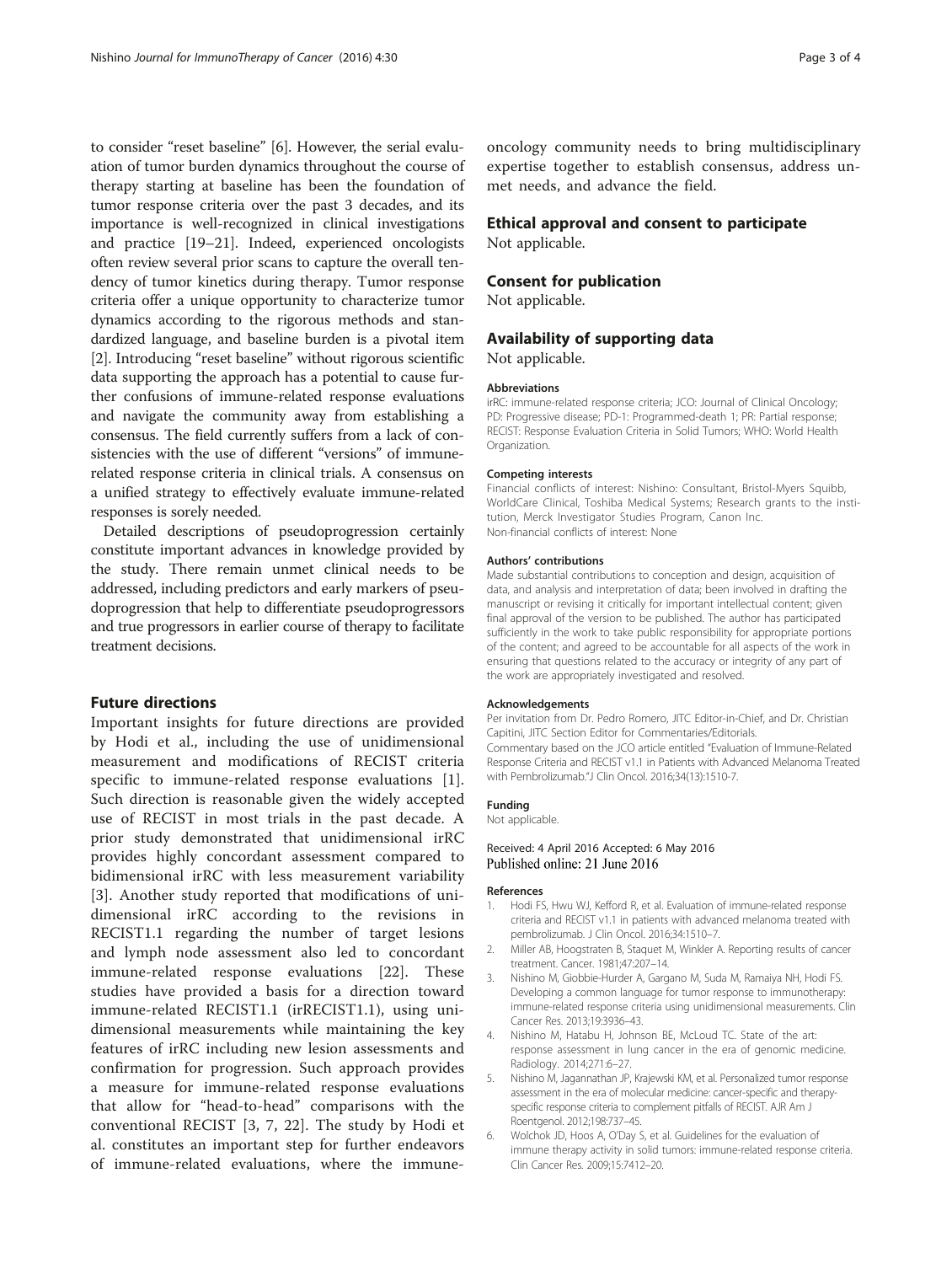<span id="page-2-0"></span>to consider "reset baseline" [6]. However, the serial evaluation of tumor burden dynamics throughout the course of therapy starting at baseline has been the foundation of tumor response criteria over the past 3 decades, and its importance is well-recognized in clinical investigations and practice [[19](#page-3-0)–[21\]](#page-3-0). Indeed, experienced oncologists often review several prior scans to capture the overall tendency of tumor kinetics during therapy. Tumor response criteria offer a unique opportunity to characterize tumor dynamics according to the rigorous methods and standardized language, and baseline burden is a pivotal item [2]. Introducing "reset baseline" without rigorous scientific data supporting the approach has a potential to cause further confusions of immune-related response evaluations and navigate the community away from establishing a consensus. The field currently suffers from a lack of consistencies with the use of different "versions" of immunerelated response criteria in clinical trials. A consensus on a unified strategy to effectively evaluate immune-related responses is sorely needed.

Detailed descriptions of pseudoprogression certainly constitute important advances in knowledge provided by the study. There remain unmet clinical needs to be addressed, including predictors and early markers of pseudoprogression that help to differentiate pseudoprogressors and true progressors in earlier course of therapy to facilitate treatment decisions.

### Future directions

Important insights for future directions are provided by Hodi et al., including the use of unidimensional measurement and modifications of RECIST criteria specific to immune-related response evaluations [1]. Such direction is reasonable given the widely accepted use of RECIST in most trials in the past decade. A prior study demonstrated that unidimensional irRC provides highly concordant assessment compared to bidimensional irRC with less measurement variability [3]. Another study reported that modifications of unidimensional irRC according to the revisions in RECIST1.1 regarding the number of target lesions and lymph node assessment also led to concordant immune-related response evaluations [\[22](#page-3-0)]. These studies have provided a basis for a direction toward immune-related RECIST1.1 (irRECIST1.1), using unidimensional measurements while maintaining the key features of irRC including new lesion assessments and confirmation for progression. Such approach provides a measure for immune-related response evaluations that allow for "head-to-head" comparisons with the conventional RECIST [3, [7](#page-3-0), [22\]](#page-3-0). The study by Hodi et al. constitutes an important step for further endeavors of immune-related evaluations, where the immuneoncology community needs to bring multidisciplinary expertise together to establish consensus, address unmet needs, and advance the field.

### Ethical approval and consent to participate Not applicable.

## Consent for publication

Not applicable.

# Availability of supporting data

Not applicable.

#### Abbreviations

irRC: immune-related response criteria; JCO: Journal of Clinical Oncology; PD: Progressive disease; PD-1: Programmed-death 1; PR: Partial response; RECIST: Response Evaluation Criteria in Solid Tumors; WHO: World Health Organization.

#### Competing interests

Financial conflicts of interest: Nishino: Consultant, Bristol-Myers Squibb, WorldCare Clinical, Toshiba Medical Systems; Research grants to the institution, Merck Investigator Studies Program, Canon Inc. Non-financial conflicts of interest: None

#### Authors' contributions

Made substantial contributions to conception and design, acquisition of data, and analysis and interpretation of data; been involved in drafting the manuscript or revising it critically for important intellectual content; given final approval of the version to be published. The author has participated sufficiently in the work to take public responsibility for appropriate portions of the content; and agreed to be accountable for all aspects of the work in ensuring that questions related to the accuracy or integrity of any part of the work are appropriately investigated and resolved.

#### Acknowledgements

Per invitation from Dr. Pedro Romero, JITC Editor-in-Chief, and Dr. Christian Capitini, JITC Section Editor for Commentaries/Editorials. Commentary based on the JCO article entitled "Evaluation of Immune-Related Response Criteria and RECIST v1.1 in Patients with Advanced Melanoma Treated with Pembrolizumab."J Clin Oncol. 2016;34(13):1510-7.

#### Funding

Not applicable.

### Received: 4 April 2016 Accepted: 6 May 2016 Published online: 21 June 2016

#### References

- 1. Hodi FS, Hwu WJ, Kefford R, et al. Evaluation of immune-related response criteria and RECIST v1.1 in patients with advanced melanoma treated with pembrolizumab. J Clin Oncol. 2016;34:1510–7.
- 2. Miller AB, Hoogstraten B, Staquet M, Winkler A. Reporting results of cancer treatment. Cancer. 1981;47:207–14.
- 3. Nishino M, Giobbie-Hurder A, Gargano M, Suda M, Ramaiya NH, Hodi FS. Developing a common language for tumor response to immunotherapy: immune-related response criteria using unidimensional measurements. Clin Cancer Res. 2013;19:3936–43.
- 4. Nishino M, Hatabu H, Johnson BE, McLoud TC. State of the art: response assessment in lung cancer in the era of genomic medicine. Radiology. 2014;271:6–27.
- 5. Nishino M, Jagannathan JP, Krajewski KM, et al. Personalized tumor response assessment in the era of molecular medicine: cancer-specific and therapyspecific response criteria to complement pitfalls of RECIST. AJR Am J Roentgenol. 2012;198:737–45.
- 6. Wolchok JD, Hoos A, O'Day S, et al. Guidelines for the evaluation of immune therapy activity in solid tumors: immune-related response criteria. Clin Cancer Res. 2009;15:7412–20.